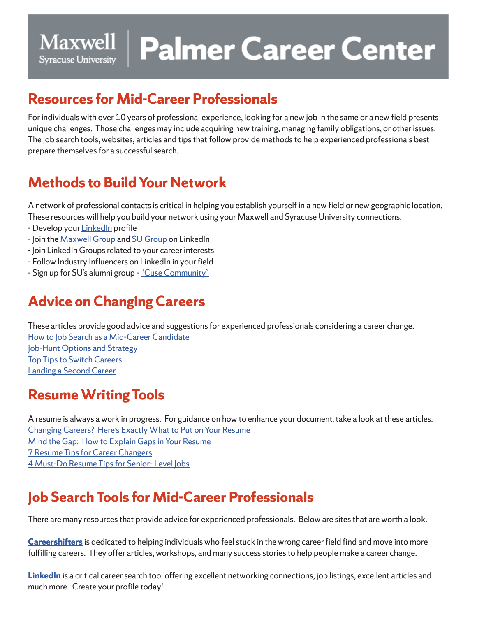# Maxwell | Palmer Career Center **Syracuse University**

#### **Resources for Mid-Career Professionals**

For individuals with over 10 years of professional experience, looking for a new job in the same or a new field presents unique challenges. Those challenges may include acquiring new training, managing family obligations, or other issues. The job search tools, websites, articles and tips that follow provide methods to help experienced professionals best prepare themselves for a successful search.

## **Methods to Build Your Network**

A network of professional contacts is critical in helping you establish yourself in a new field or new geographic location. These resources will help you build your network using your Maxwell and Syracuse University connections.

- Develop your LinkedIn profile
- Join the Maxwell Group and SU Group on LinkedIn
- Join LinkedIn Groups related to your career interests
- Follow Industry Influencers on LinkedIn in your field
- Sign up for SU's alumni group 'Cuse Community'

## **Advice on Changing Careers**

These articles provide good advice and suggestions for experienced professionals considering a career change. How to Job Search as a Mid-Career Candidate Job-Hunt Options and Strategy Top Tips to Switch Careers Landing a Second Career

### **Resume Writing Tools**

A resume is always a work in progress. For guidance on how to enhance your document, take a look at these articles. Changing Careers? Here's Exactly What to Put on Your Resume Mind the Gap: How to Explain Gaps in Your Resume 7 Resume Tips for Career Changers 4 Must-Do Resume Tips for Senior- Level Jobs

# **Job Search Tools for Mid-Career Professionals**

There are many resources that provide advice for experienced professionals. Below are sites that are worth a look.

**Careershifters** is dedicated to helping individuals who feel stuck in the wrong career field find and move into more fulfilling careers. They offer articles, workshops, and many success stories to help people make a career change.

**LinkedIn** is a critical career search tool offering excellent networking connections, job listings, excellent articles and much more. Create your profile today!